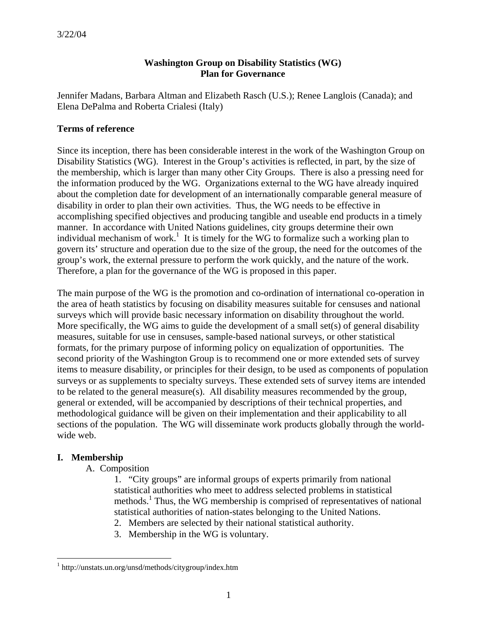# **Washington Group on Disability Statistics (WG) Plan for Governance**

Jennifer Madans, Barbara Altman and Elizabeth Rasch (U.S.); Renee Langlois (Canada); and Elena DePalma and Roberta Crialesi (Italy)

# **Terms of reference**

Since its inception, there has been considerable interest in the work of the Washington Group on Disability Statistics (WG). Interest in the Group's activities is reflected, in part, by the size of the membership, which is larger than many other City Groups. There is also a pressing need for the information produced by the WG. Organizations external to the WG have already inquired about the completion date for development of an internationally comparable general measure of disability in order to plan their own activities. Thus, the WG needs to be effective in accomplishing specified objectives and producing tangible and useable end products in a timely manner. In accordance with United Nations guidelines, city groups determine their own individual mechanism of work.<sup>1</sup> It is timely for the WG to formalize such a working plan to govern its' structure and operation due to the size of the group, the need for the outcomes of the group's work, the external pressure to perform the work quickly, and the nature of the work. Therefore, a plan for the governance of the WG is proposed in this paper.

The main purpose of the WG is the promotion and co-ordination of international co-operation in the area of heath statistics by focusing on disability measures suitable for censuses and national surveys which will provide basic necessary information on disability throughout the world. More specifically, the WG aims to guide the development of a small set(s) of general disability measures, suitable for use in censuses, sample-based national surveys, or other statistical formats, for the primary purpose of informing policy on equalization of opportunities. The second priority of the Washington Group is to recommend one or more extended sets of survey items to measure disability, or principles for their design, to be used as components of population surveys or as supplements to specialty surveys. These extended sets of survey items are intended to be related to the general measure(s). All disability measures recommended by the group, general or extended, will be accompanied by descriptions of their technical properties, and methodological guidance will be given on their implementation and their applicability to all sections of the population. The WG will disseminate work products globally through the worldwide web.

## **I. Membership**

 $\overline{a}$ 

A. Composition

1. "City groups" are informal groups of experts primarily from national statistical authorities who meet to address selected problems in statistical methods.<sup>1</sup> Thus, the WG membership is comprised of representatives of national statistical authorities of nation-states belonging to the United Nations.

- 2. Members are selected by their national statistical authority.
- 3. Membership in the WG is voluntary.

<sup>1</sup> http://unstats.un.org/unsd/methods/citygroup/index.htm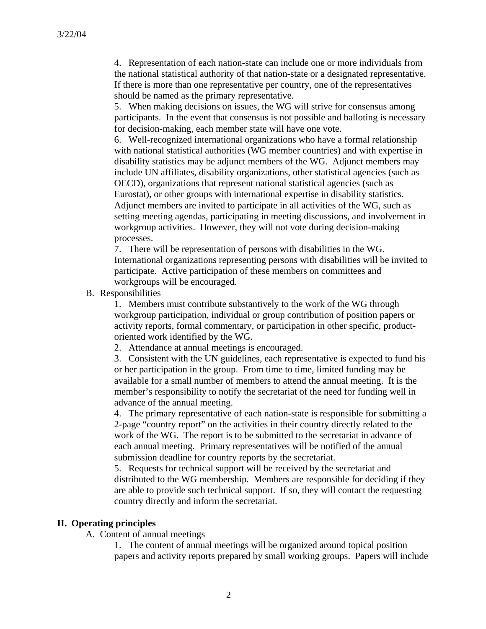4. Representation of each nation-state can include one or more individuals from the national statistical authority of that nation-state or a designated representative. If there is more than one representative per country, one of the representatives should be named as the primary representative.

5. When making decisions on issues, the WG will strive for consensus among participants. In the event that consensus is not possible and balloting is necessary for decision-making, each member state will have one vote.

6. Well-recognized international organizations who have a formal relationship with national statistical authorities (WG member countries) and with expertise in disability statistics may be adjunct members of the WG. Adjunct members may include UN affiliates, disability organizations, other statistical agencies (such as OECD), organizations that represent national statistical agencies (such as Eurostat), or other groups with international expertise in disability statistics. Adjunct members are invited to participate in all activities of the WG, such as setting meeting agendas, participating in meeting discussions, and involvement in workgroup activities. However, they will not vote during decision-making processes.

7. There will be representation of persons with disabilities in the WG. International organizations representing persons with disabilities will be invited to participate. Active participation of these members on committees and workgroups will be encouraged.

B. Responsibilities

1. Members must contribute substantively to the work of the WG through workgroup participation, individual or group contribution of position papers or activity reports, formal commentary, or participation in other specific, productoriented work identified by the WG.

2. Attendance at annual meetings is encouraged.

3. Consistent with the UN guidelines, each representative is expected to fund his or her participation in the group. From time to time, limited funding may be available for a small number of members to attend the annual meeting. It is the member's responsibility to notify the secretariat of the need for funding well in advance of the annual meeting.

4. The primary representative of each nation-state is responsible for submitting a 2-page "country report" on the activities in their country directly related to the work of the WG. The report is to be submitted to the secretariat in advance of each annual meeting. Primary representatives will be notified of the annual submission deadline for country reports by the secretariat.

5. Requests for technical support will be received by the secretariat and distributed to the WG membership. Members are responsible for deciding if they are able to provide such technical support. If so, they will contact the requesting country directly and inform the secretariat.

#### **II. Operating principles**

A. Content of annual meetings

1. The content of annual meetings will be organized around topical position papers and activity reports prepared by small working groups. Papers will include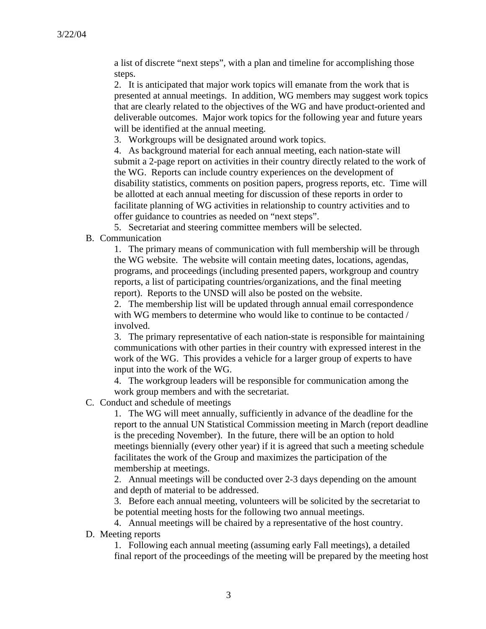a list of discrete "next steps", with a plan and timeline for accomplishing those steps.

2. It is anticipated that major work topics will emanate from the work that is presented at annual meetings. In addition, WG members may suggest work topics that are clearly related to the objectives of the WG and have product-oriented and deliverable outcomes. Major work topics for the following year and future years will be identified at the annual meeting.

3. Workgroups will be designated around work topics.

4. As background material for each annual meeting, each nation-state will submit a 2-page report on activities in their country directly related to the work of the WG. Reports can include country experiences on the development of disability statistics, comments on position papers, progress reports, etc. Time will be allotted at each annual meeting for discussion of these reports in order to facilitate planning of WG activities in relationship to country activities and to offer guidance to countries as needed on "next steps".

5. Secretariat and steering committee members will be selected.

B. Communication

1. The primary means of communication with full membership will be through the WG website. The website will contain meeting dates, locations, agendas, programs, and proceedings (including presented papers, workgroup and country reports, a list of participating countries/organizations, and the final meeting report). Reports to the UNSD will also be posted on the website.

2. The membership list will be updated through annual email correspondence with WG members to determine who would like to continue to be contacted / involved.

3. The primary representative of each nation-state is responsible for maintaining communications with other parties in their country with expressed interest in the work of the WG. This provides a vehicle for a larger group of experts to have input into the work of the WG.

4. The workgroup leaders will be responsible for communication among the work group members and with the secretariat.

C. Conduct and schedule of meetings

1. The WG will meet annually, sufficiently in advance of the deadline for the report to the annual UN Statistical Commission meeting in March (report deadline is the preceding November). In the future, there will be an option to hold meetings biennially (every other year) if it is agreed that such a meeting schedule facilitates the work of the Group and maximizes the participation of the membership at meetings.

2. Annual meetings will be conducted over 2-3 days depending on the amount and depth of material to be addressed.

3. Before each annual meeting, volunteers will be solicited by the secretariat to be potential meeting hosts for the following two annual meetings.

4. Annual meetings will be chaired by a representative of the host country.

D. Meeting reports

1. Following each annual meeting (assuming early Fall meetings), a detailed final report of the proceedings of the meeting will be prepared by the meeting host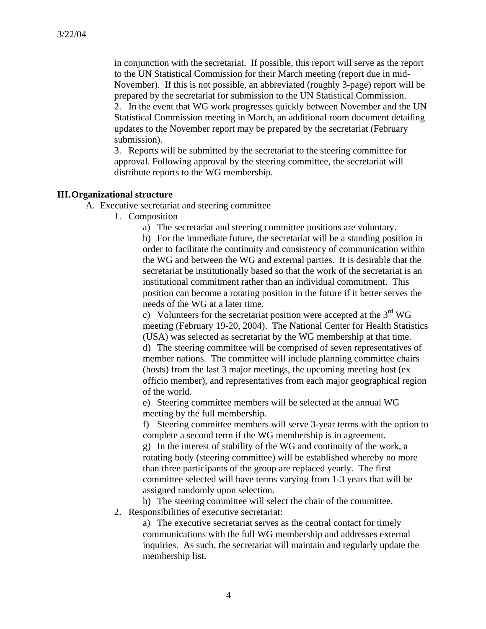in conjunction with the secretariat. If possible, this report will serve as the report to the UN Statistical Commission for their March meeting (report due in mid-November). If this is not possible, an abbreviated (roughly 3-page) report will be prepared by the secretariat for submission to the UN Statistical Commission. 2. In the event that WG work progresses quickly between November and the UN Statistical Commission meeting in March, an additional room document detailing updates to the November report may be prepared by the secretariat (February submission).

3. Reports will be submitted by the secretariat to the steering committee for approval. Following approval by the steering committee, the secretariat will distribute reports to the WG membership.

### **III.Organizational structure**

A. Executive secretariat and steering committee

1. Composition

a) The secretariat and steering committee positions are voluntary.

b) For the immediate future, the secretariat will be a standing position in order to facilitate the continuity and consistency of communication within the WG and between the WG and external parties. It is desirable that the secretariat be institutionally based so that the work of the secretariat is an institutional commitment rather than an individual commitment. This position can become a rotating position in the future if it better serves the needs of the WG at a later time.

c) Volunteers for the secretariat position were accepted at the  $3<sup>rd</sup>$  WG meeting (February 19-20, 2004). The National Center for Health Statistics (USA) was selected as secretariat by the WG membership at that time. d) The steering committee will be comprised of seven representatives of member nations. The committee will include planning committee chairs (hosts) from the last 3 major meetings, the upcoming meeting host (ex officio member), and representatives from each major geographical region of the world.

e) Steering committee members will be selected at the annual WG meeting by the full membership.

f) Steering committee members will serve 3-year terms with the option to complete a second term if the WG membership is in agreement.

g) In the interest of stability of the WG and continuity of the work, a rotating body (steering committee) will be established whereby no more than three participants of the group are replaced yearly. The first committee selected will have terms varying from 1-3 years that will be assigned randomly upon selection.

h) The steering committee will select the chair of the committee.

2. Responsibilities of executive secretariat:

a) The executive secretariat serves as the central contact for timely communications with the full WG membership and addresses external inquiries. As such, the secretariat will maintain and regularly update the membership list.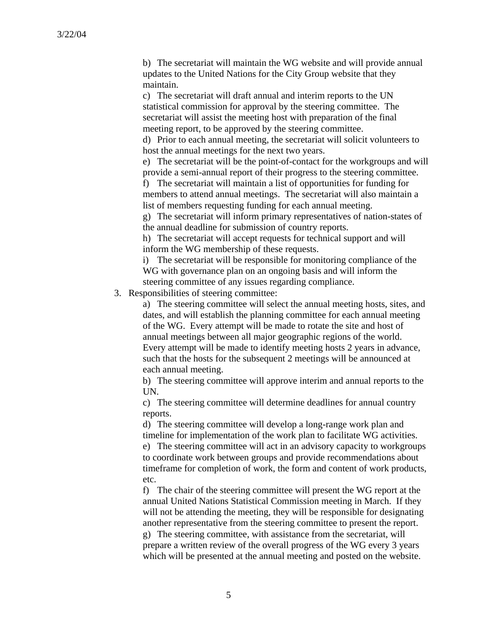b) The secretariat will maintain the WG website and will provide annual updates to the United Nations for the City Group website that they maintain.

c) The secretariat will draft annual and interim reports to the UN statistical commission for approval by the steering committee. The secretariat will assist the meeting host with preparation of the final meeting report, to be approved by the steering committee.

d) Prior to each annual meeting, the secretariat will solicit volunteers to host the annual meetings for the next two years.

e) The secretariat will be the point-of-contact for the workgroups and will provide a semi-annual report of their progress to the steering committee.

f) The secretariat will maintain a list of opportunities for funding for members to attend annual meetings. The secretariat will also maintain a list of members requesting funding for each annual meeting.

g) The secretariat will inform primary representatives of nation-states of the annual deadline for submission of country reports.

h) The secretariat will accept requests for technical support and will inform the WG membership of these requests.

i) The secretariat will be responsible for monitoring compliance of the WG with governance plan on an ongoing basis and will inform the steering committee of any issues regarding compliance.

3. Responsibilities of steering committee:

a) The steering committee will select the annual meeting hosts, sites, and dates, and will establish the planning committee for each annual meeting of the WG. Every attempt will be made to rotate the site and host of annual meetings between all major geographic regions of the world. Every attempt will be made to identify meeting hosts 2 years in advance, such that the hosts for the subsequent 2 meetings will be announced at each annual meeting.

b) The steering committee will approve interim and annual reports to the UN.

c) The steering committee will determine deadlines for annual country reports.

d) The steering committee will develop a long-range work plan and timeline for implementation of the work plan to facilitate WG activities.

e) The steering committee will act in an advisory capacity to workgroups to coordinate work between groups and provide recommendations about timeframe for completion of work, the form and content of work products, etc.

f) The chair of the steering committee will present the WG report at the annual United Nations Statistical Commission meeting in March. If they will not be attending the meeting, they will be responsible for designating another representative from the steering committee to present the report. g) The steering committee, with assistance from the secretariat, will prepare a written review of the overall progress of the WG every 3 years which will be presented at the annual meeting and posted on the website.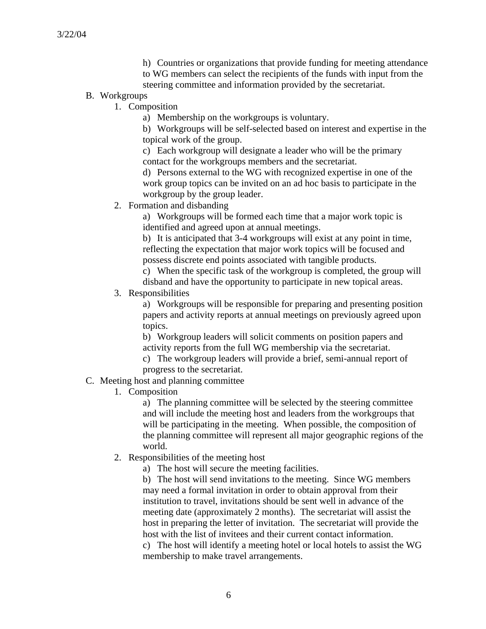h) Countries or organizations that provide funding for meeting attendance to WG members can select the recipients of the funds with input from the steering committee and information provided by the secretariat.

- B. Workgroups
	- 1. Composition
		- a) Membership on the workgroups is voluntary.

b) Workgroups will be self-selected based on interest and expertise in the topical work of the group.

c) Each workgroup will designate a leader who will be the primary contact for the workgroups members and the secretariat.

d) Persons external to the WG with recognized expertise in one of the work group topics can be invited on an ad hoc basis to participate in the workgroup by the group leader.

2. Formation and disbanding

a) Workgroups will be formed each time that a major work topic is identified and agreed upon at annual meetings.

b) It is anticipated that 3-4 workgroups will exist at any point in time, reflecting the expectation that major work topics will be focused and possess discrete end points associated with tangible products.

c) When the specific task of the workgroup is completed, the group will disband and have the opportunity to participate in new topical areas.

3. Responsibilities

a) Workgroups will be responsible for preparing and presenting position papers and activity reports at annual meetings on previously agreed upon topics.

b) Workgroup leaders will solicit comments on position papers and activity reports from the full WG membership via the secretariat.

c) The workgroup leaders will provide a brief, semi-annual report of progress to the secretariat.

- C. Meeting host and planning committee
	- 1. Composition

a) The planning committee will be selected by the steering committee and will include the meeting host and leaders from the workgroups that will be participating in the meeting. When possible, the composition of the planning committee will represent all major geographic regions of the world.

2. Responsibilities of the meeting host

a) The host will secure the meeting facilities.

b) The host will send invitations to the meeting. Since WG members may need a formal invitation in order to obtain approval from their institution to travel, invitations should be sent well in advance of the meeting date (approximately 2 months). The secretariat will assist the host in preparing the letter of invitation. The secretariat will provide the host with the list of invitees and their current contact information.

c) The host will identify a meeting hotel or local hotels to assist the WG membership to make travel arrangements.